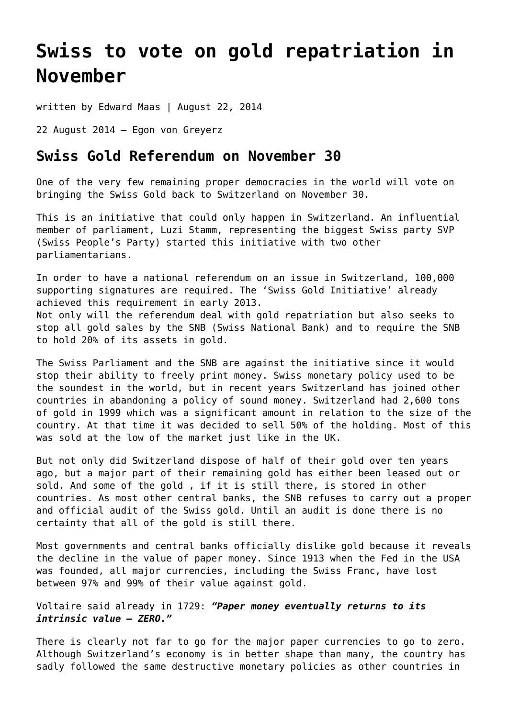## **[Swiss to vote on gold repatriation in](https://goldswitzerland.com/swiss-to-vote-on-gold-repatriation-in-november/) [November](https://goldswitzerland.com/swiss-to-vote-on-gold-repatriation-in-november/)**

written by Edward Maas | August 22, 2014

22 August 2014 – Egon von Greyerz

## **Swiss Gold Referendum on November 30**

One of the very few remaining proper democracies in the world will vote on bringing the Swiss Gold back to Switzerland on November 30.

This is an initiative that could only happen in Switzerland. An influential member of parliament, Luzi Stamm, representing the biggest Swiss party SVP (Swiss People's Party) started this initiative with two other parliamentarians.

In order to have a national referendum on an issue in Switzerland, 100,000 supporting signatures are required. The 'Swiss Gold Initiative' already achieved this requirement in early 2013. Not only will the referendum deal with gold repatriation but also seeks to stop all gold sales by the SNB (Swiss National Bank) and to require the SNB to hold 20% of its assets in gold.

The Swiss Parliament and the SNB are against the initiative since it would stop their ability to freely print money. Swiss monetary policy used to be the soundest in the world, but in recent years Switzerland has joined other countries in abandoning a policy of sound money. Switzerland had 2,600 tons of gold in 1999 which was a significant amount in relation to the size of the country. At that time it was decided to sell 50% of the holding. Most of this was sold at the low of the market just like in the UK.

But not only did Switzerland dispose of half of their gold over ten years ago, but a major part of their remaining gold has either been leased out or sold. And some of the gold , if it is still there, is stored in other countries. As most other central banks, the SNB refuses to carry out a proper and official audit of the Swiss gold. Until an audit is done there is no certainty that all of the gold is still there.

Most governments and central banks officially dislike gold because it reveals the decline in the value of paper money. Since 1913 when the Fed in the USA was founded, all major currencies, including the Swiss Franc, have lost between 97% and 99% of their value against gold.

## Voltaire said already in 1729: *"Paper money eventually returns to its intrinsic value – ZERO."*

There is clearly not far to go for the major paper currencies to go to zero. Although Switzerland's economy is in better shape than many, the country has sadly followed the same destructive monetary policies as other countries in